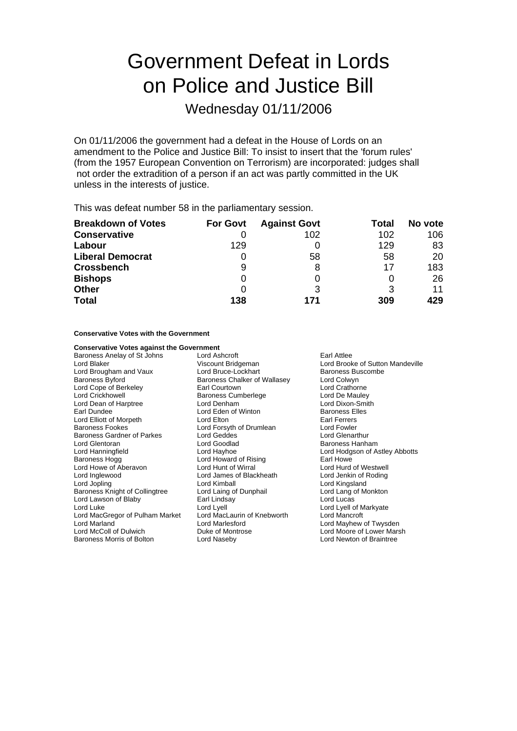# Government Defeat in Lords on Police and Justice Bill

Wednesday 01/11/2006

On 01/11/2006 the government had a defeat in the House of Lords on an amendment to the Police and Justice Bill: To insist to insert that the 'forum rules' (from the 1957 European Convention on Terrorism) are incorporated: judges shall not order the extradition of a person if an act was partly committed in the UK unless in the interests of justice.

This was defeat number 58 in the parliamentary session.

| <b>Breakdown of Votes</b> | <b>For Govt</b> | <b>Against Govt</b> | Total | No vote |
|---------------------------|-----------------|---------------------|-------|---------|
| <b>Conservative</b>       |                 | 102                 | 102   | 106     |
| Labour                    | 129             |                     | 129   | 83      |
| <b>Liberal Democrat</b>   | O               | 58                  | 58    | 20      |
| <b>Crossbench</b>         | 9               |                     | 17    | 183     |
| <b>Bishops</b>            | 0               |                     |       | 26      |
| <b>Other</b>              | 0               |                     | 3     | 11      |
| <b>Total</b>              | 138             | 171                 | 309   | 429     |

**Conservative Votes with the Government**

| <b>Conservative Votes against the Government</b> |                              |                                  |  |
|--------------------------------------------------|------------------------------|----------------------------------|--|
| Baroness Anelay of St Johns                      | Lord Ashcroft<br>Earl Attlee |                                  |  |
| Lord Blaker                                      | Viscount Bridgeman           | Lord Brooke of Sutton Mandeville |  |
| Lord Brougham and Vaux                           | Lord Bruce-Lockhart          | Baroness Buscombe                |  |
| Baroness Byford                                  | Baroness Chalker of Wallasey | Lord Colwyn                      |  |
| Lord Cope of Berkeley                            | Earl Courtown                | Lord Crathorne                   |  |
| Lord Crickhowell                                 | Baroness Cumberlege          | Lord De Mauley                   |  |
| Lord Dean of Harptree                            | Lord Denham                  | Lord Dixon-Smith                 |  |
| Earl Dundee                                      | Lord Eden of Winton          | <b>Baroness Elles</b>            |  |
| Lord Elliott of Morpeth                          | Lord Elton                   | <b>Earl Ferrers</b>              |  |
| Baroness Fookes                                  | Lord Forsyth of Drumlean     | Lord Fowler                      |  |
| Baroness Gardner of Parkes                       | Lord Geddes                  | <b>Lord Glenarthur</b>           |  |
| Lord Glentoran                                   | Lord Goodlad                 | Baroness Hanham                  |  |
| Lord Hanningfield                                | Lord Hayhoe                  | Lord Hodgson of Astley Abbotts   |  |
| Baroness Hogg                                    | Lord Howard of Rising        | Earl Howe                        |  |
| Lord Howe of Aberavon                            | Lord Hunt of Wirral          | Lord Hurd of Westwell            |  |
| Lord Inglewood                                   | Lord James of Blackheath     | Lord Jenkin of Roding            |  |
| Lord Jopling                                     | Lord Kimball                 | Lord Kingsland                   |  |
| Baroness Knight of Collingtree                   | Lord Laing of Dunphail       | Lord Lang of Monkton             |  |
| Lord Lawson of Blaby                             | Earl Lindsay                 | Lord Lucas                       |  |
| Lord Luke                                        | Lord Lyell                   | Lord Lyell of Markyate           |  |
| Lord MacGregor of Pulham Market                  | Lord MacLaurin of Knebworth  | Lord Mancroft                    |  |
| Lord Marland                                     | Lord Marlesford              | Lord Mayhew of Twysden           |  |
| Lord McColl of Dulwich                           | Duke of Montrose             | Lord Moore of Lower Marsh        |  |
| Baroness Morris of Bolton                        | Lord Naseby                  | Lord Newton of Braintree         |  |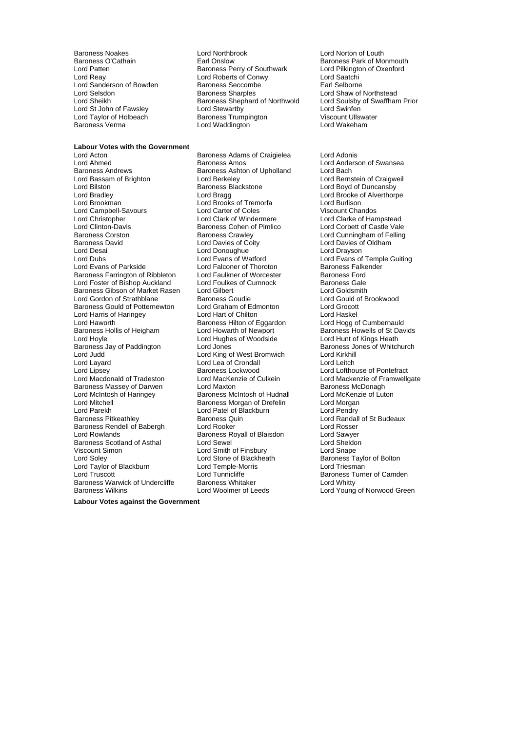Lord Sanderson of Bowden Baroness Seccomb<br>Lord Selsdon Baroness Sharples

## **Labour Votes with the Government**

Lord Ahmed **Baroness Amos** Baroness Amos Lord Anderson of Swansea<br>Baroness Andrews **Baroness Ashton of Upholland** Lord Bach Baroness Andrews **Baroness Ashton of Upholland**<br>
Lord Bassam of Brighton<br>
Lord Berkeley Lord Bilston **Lord Baroness Blackstone** Care and Boyd of Duncansby<br>
Lord Bradley **Cord Boyd Boyd Bragg**<br>
Lord Bragg **Cord Bragg** Lord Brooke of Alverthorp Lord Bradley Lord Bragg Lord Brooke of Alverthorpe Lord Campbell-Savours **Lord Campbell-Savours Lord Carter of Coles** Lord Christopher **Lord Clark of Windermere** Music Lord Clarke of Hampstead<br>
Lord Clinton-Davis **Clarke Clare Containers** Cohen of Pimlico Lord Corbett of Castle Vale Lord Clinton-Davis **Baroness Cohen of Pimlico**<br>Baroness Corston **Baroness Crawley** Baroness Corston **Baroness Crawley Community** Lord Cunningham of Felling Baroness David Lord Davies of Coity Lord Davies of Oldham Lord Desai Lord Donoughue Lord Drayson Lord Dubs<br>
Lord Evans of Parkside **Lord Evans of Lord Evans of Lord Evans of Temple Guiting**<br>
Lord Falconer of Thoroton Baroness Falkender Baroness Farrington of Ribbleton Lord Faulkner of Worcester Baroness Ford<br>
Lord Foster of Bishop Auckland Lord Foulkes of Cumnock Baroness Gale Lord Foster of Bishop Auckland Lord Foulkes of Cumnock Baroness Gale<br>Baroness Gibson of Market Rasen Lord Gilbert Cumnock Lord Goldsmith Baroness Gibson of Market Rasen Lord Gilbert<br>
Lord Gordon of Strathblane Baroness Goudie Baroness Gould of Potternewton Lord Graham of Edmonton Lord Grocott<br>
Lord Harris of Haringey Lord Hart of Chilton Lord Hart of Chilton Lord Harris of Haringey **Lord Hart of Chilton Lord Harris of Hart**<br>
Lord Haworth **Chilton Communist Control** Baroness Hilton of Eggardon Lord Haworth **Example 20 Exercise**<br>
Baroness Hollis of Heigham **Baroness Hollis of Heigham**<br>
Lord Howarth of Newport Baroness Howells of St Dav Lord Hoyle <sup>C</sup><br>
Lord Hughes of Woodside<br>
Lord Jones<br>
Lord Jones Baroness Jay of Paddington Lord Jones<br>
Lord King of West Bromwich Lord King Lord King of West Bromwich Lord Kinkhill Lord Layard Lord Lea of Crondall Lord Leitch Lord Macdonald of Tradeston Baroness Massey of Darwen Lord Maxton and Baroness McDonagh<br>
Lord McIntosh of Haringey Baroness McIntosh of Hudnall Lord McKenzie of Luton Lord McIntosh of Haringey Baroness McIntosh of Hudnall Lord McKenz<br>Lord Mitchell Cord Morgan<br>Baroness Morgan of Drefelin Lord Morgan Lord Mitchell **Baroness Morgan of Drefelin** Lord Morgan Lord Morgan Lord Patel of Blackburn Lord Pendry Baroness Pitkeathley **Baroness Quin Caroness Cuin** Lord Randall of St Budeaux<br>Baroness Rendell of Babergh Lord Rooker Cord Rosser Lord Rosser Baroness Rendell of Babergh Lord Rooker Lord Rosser Baroness Scotland of Asthal Lord Sewel **Lord Sheldoness Scotland of Asthal Lord Sheldoness** Cord Sheldoness Cord Sheldoness Cord Sheldoness Cord Sheldoness Cord Sheldoness Cord Sheldoness Cord Sheldoness Cord Sheldoness Co Lord Soley **Lord Stone of Blackheath** Baroness Taylor of Bolton<br>
Lord Taylor of Blackburn Lord Temple-Morris **Baroness** Lord Triesman Lord Taylor of Blackburn **B Lord Temple-Morris B** Lord Triesman Lord Truscott<br>
Baroness Warwick of Undercliffe Baroness Whitaker **Baroness Turner of Camden**<br>
Baroness Warwick of Undercliffe Baroness Whitaker **Baroness Whitaker** Baroness Warwick of Undercliffe Baroness Whitaker **Baroness Whitty Construent Construent** Lord Whitty Baroness Whitaker Construent Construent Baroness White<br>
Lord Young Lord Young

Baroness Noakes **Lord Northbrook** Lord Norton of Louth<br>Baroness O'Cathain **Carlos Club Lord Norton Carlos Club Club** Baroness Park of Mc Baroness O'Cathain **Earl Onslow** Earl Onslow Baroness Park of Monmouth<br>
Lord Patten **Baroness Perry of Southwark** Lord Pilkington of Oxenford Lord Patten Baroness Perry of Southwark that Lord Pilkington Corental and Roberts of Conwy that Lord Saatchi Lord Roberts of Conwy<br>
Baroness Seccombe<br>
Earl Selborne Lord Selsdon **Baroness Sharples** Lord Shaw of Northstead<br>
Lord Sheikh Baroness Shephard of Northwold Lord Soulsby of Swaffham Prior Extractive Shephard of Northwold Hard Soulsby<br>
Lord Stewartby Prior Stewarthy Lord Swinfen Lord St John of Fawsley **Lord Stewartby** Lord Stewartby Lord Swinfen<br>
Lord Taylor of Holbeach **Baroness Trumpington** Viscount Ullswater Lord Taylor of Holbeach **Baroness Trumpington** Viscount Ullswater Baroness Trumpington Cord Wiscount Ullswater<br>Baroness Vermater of Lord Water Lord Water Lord Wakeham Lord Waddington

Lord Acton **Communist Communist Communist Craigielea** Lord Adonis<br>
Lord Ahmed **Baroness Amos** Cord Anders Lord Berkeley **Communist Communist Craigweil**<br>
Baroness Blackstone **Communist Communist Communist Communist Communist Communist Communist Communist Communist C** Lord Brooks of Tremorfa<br>
Lord Carter of Coles<br>
Viscount Chandos Lord Falconer of Thoroton Baroness Goudie<br>
Lord Graham of Edmonton<br>
Lord Grocott Lord King of West Bromwich Lord Patel of Blackburn Lord Rowlands Baroness R yall of Blaisdon o Lord Sawyer Lord Smith of Finsbury<br>Lord Stone of Blackheath

Lord Howarth of Newport Baroness Howells of St Davids<br>
Lord Hughes of Woodside Lord Hunt of Kings Heath Baroness Lockwood **Lord Lord Lofthouse of Pontefract**<br>
Lord Mackenzie of Culkein<br>
Lord Mackenzie of Framwellgate Lord Young of Norwood Green

**Labour Votes against the Government**